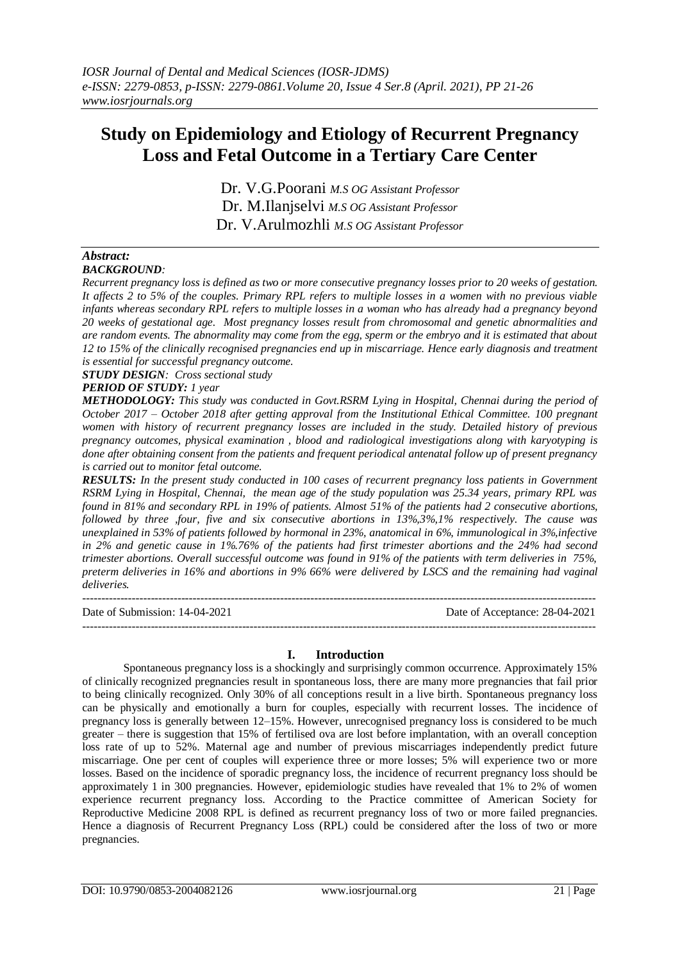# **Study on Epidemiology and Etiology of Recurrent Pregnancy Loss and Fetal Outcome in a Tertiary Care Center**

Dr. V.G.Poorani *M.S OG Assistant Professor* Dr. M.Ilanjselvi *M.S OG Assistant Professor* Dr. V.Arulmozhli *M.S OG Assistant Professor*

### *Abstract: BACKGROUND:*

*Recurrent pregnancy loss is defined as two or more consecutive pregnancy losses prior to 20 weeks of gestation. It affects 2 to 5% of the couples. Primary RPL refers to multiple losses in a women with no previous viable infants whereas secondary RPL refers to multiple losses in a woman who has already had a pregnancy beyond 20 weeks of gestational age. Most pregnancy losses result from chromosomal and genetic abnormalities and are random events. The abnormality may come from the egg, sperm or the embryo and it is estimated that about 12 to 15% of the clinically recognised pregnancies end up in miscarriage. Hence early diagnosis and treatment is essential for successful pregnancy outcome.*

*STUDY DESIGN: Cross sectional study*

# *PERIOD OF STUDY: 1 year*

*METHODOLOGY: This study was conducted in Govt.RSRM Lying in Hospital, Chennai during the period of October 2017 – October 2018 after getting approval from the Institutional Ethical Committee. 100 pregnant women with history of recurrent pregnancy losses are included in the study. Detailed history of previous pregnancy outcomes, physical examination , blood and radiological investigations along with karyotyping is done after obtaining consent from the patients and frequent periodical antenatal follow up of present pregnancy is carried out to monitor fetal outcome.*

*RESULTS: In the present study conducted in 100 cases of recurrent pregnancy loss patients in Government RSRM Lying in Hospital, Chennai, the mean age of the study population was 25.34 years, primary RPL was found in 81% and secondary RPL in 19% of patients. Almost 51% of the patients had 2 consecutive abortions, followed by three ,four, five and six consecutive abortions in 13%,3%,1% respectively. The cause was unexplained in 53% of patients followed by hormonal in 23%, anatomical in 6%, immunological in 3%,infective in 2% and genetic cause in 1%.76% of the patients had first trimester abortions and the 24% had second trimester abortions. Overall successful outcome was found in 91% of the patients with term deliveries in 75%, preterm deliveries in 16% and abortions in 9% 66% were delivered by LSCS and the remaining had vaginal deliveries.*

--------------------------------------------------------------------------------------------------------------------------------------- Date of Submission: 14-04-2021 Date of Acceptance: 28-04-2021

---------------------------------------------------------------------------------------------------------------------------------------

# **I. Introduction**

Spontaneous pregnancy loss is a shockingly and surprisingly common occurrence. Approximately 15% of clinically recognized pregnancies result in spontaneous loss, there are many more pregnancies that fail prior to being clinically recognized. Only 30% of all conceptions result in a live birth. Spontaneous pregnancy loss can be physically and emotionally a burn for couples, especially with recurrent losses. The incidence of pregnancy loss is generally between 12–15%. However, unrecognised pregnancy loss is considered to be much greater – there is suggestion that 15% of fertilised ova are lost before implantation, with an overall conception loss rate of up to 52%. Maternal age and number of previous miscarriages independently predict future miscarriage. One per cent of couples will experience three or more losses; 5% will experience two or more losses. Based on the incidence of sporadic pregnancy loss, the incidence of recurrent pregnancy loss should be approximately 1 in 300 pregnancies. However, epidemiologic studies have revealed that 1% to 2% of women experience recurrent pregnancy loss. According to the Practice committee of American Society for Reproductive Medicine 2008 RPL is defined as recurrent pregnancy loss of two or more failed pregnancies. Hence a diagnosis of Recurrent Pregnancy Loss (RPL) could be considered after the loss of two or more pregnancies.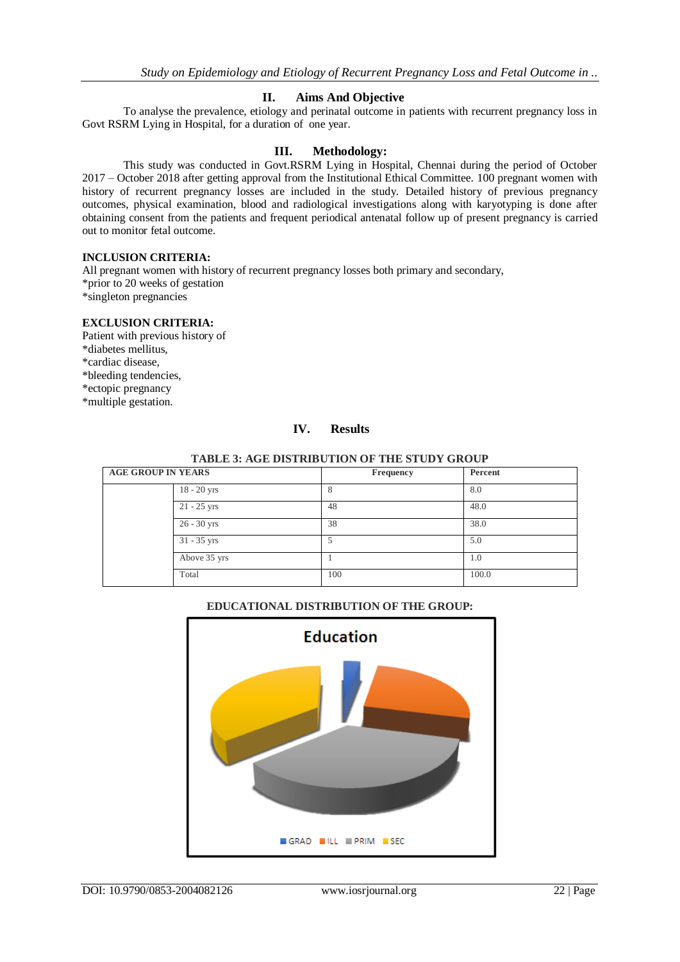# **II. Aims And Objective**

To analyse the prevalence, etiology and perinatal outcome in patients with recurrent pregnancy loss in Govt RSRM Lying in Hospital, for a duration of one year.

# **III. Methodology:**

This study was conducted in Govt.RSRM Lying in Hospital, Chennai during the period of October 2017 – October 2018 after getting approval from the Institutional Ethical Committee. 100 pregnant women with history of recurrent pregnancy losses are included in the study. Detailed history of previous pregnancy outcomes, physical examination, blood and radiological investigations along with karyotyping is done after obtaining consent from the patients and frequent periodical antenatal follow up of present pregnancy is carried out to monitor fetal outcome.

# **INCLUSION CRITERIA:**

All pregnant women with history of recurrent pregnancy losses both primary and secondary, \*prior to 20 weeks of gestation \*singleton pregnancies

### **EXCLUSION CRITERIA:**

Patient with previous history of \*diabetes mellitus, \*cardiac disease, \*bleeding tendencies, \*ectopic pregnancy \*multiple gestation.

### **IV. Results**

| <b>AGE GROUP IN YEARS</b> |               | Frequency | Percent |
|---------------------------|---------------|-----------|---------|
|                           | $18 - 20$ yrs |           | 8.0     |
|                           | $21 - 25$ yrs | 48        | 48.0    |
|                           | $26 - 30$ yrs | 38        | 38.0    |
|                           | $31 - 35$ yrs |           | 5.0     |
|                           | Above 35 yrs  |           | 1.0     |
| Total                     |               | 100       | 100.0   |

**EDUCATIONAL DISTRIBUTION OF THE GROUP:**

### **TABLE 3: AGE DISTRIBUTION OF THE STUDY GROUP**

# **Education** GRAD LL PRIM SEC

DOI: 10.9790/0853-2004082126 www.iosrjournal.org 22 | Page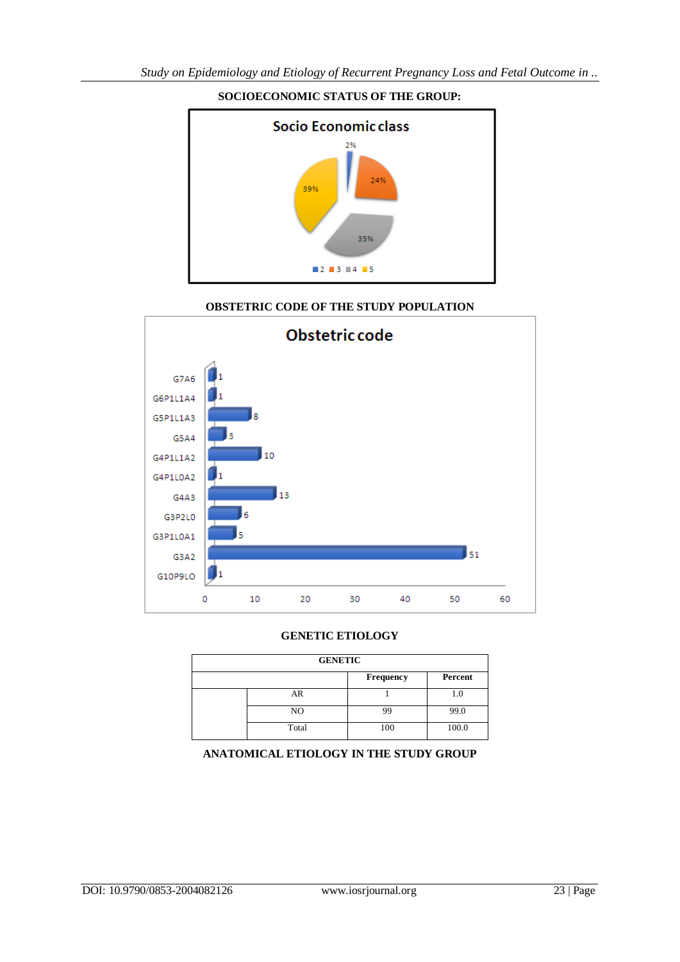

# **SOCIOECONOMIC STATUS OF THE GROUP:**

# **OBSTETRIC CODE OF THE STUDY POPULATION**



# **GENETIC ETIOLOGY**

| <b>GENETIC</b> |       |           |         |  |  |
|----------------|-------|-----------|---------|--|--|
|                |       | Frequency | Percent |  |  |
|                | AR    |           | 1.0     |  |  |
|                | NO.   | 99        | 99.0    |  |  |
|                | Total | 100       | 100.0   |  |  |

# **ANATOMICAL ETIOLOGY IN THE STUDY GROUP**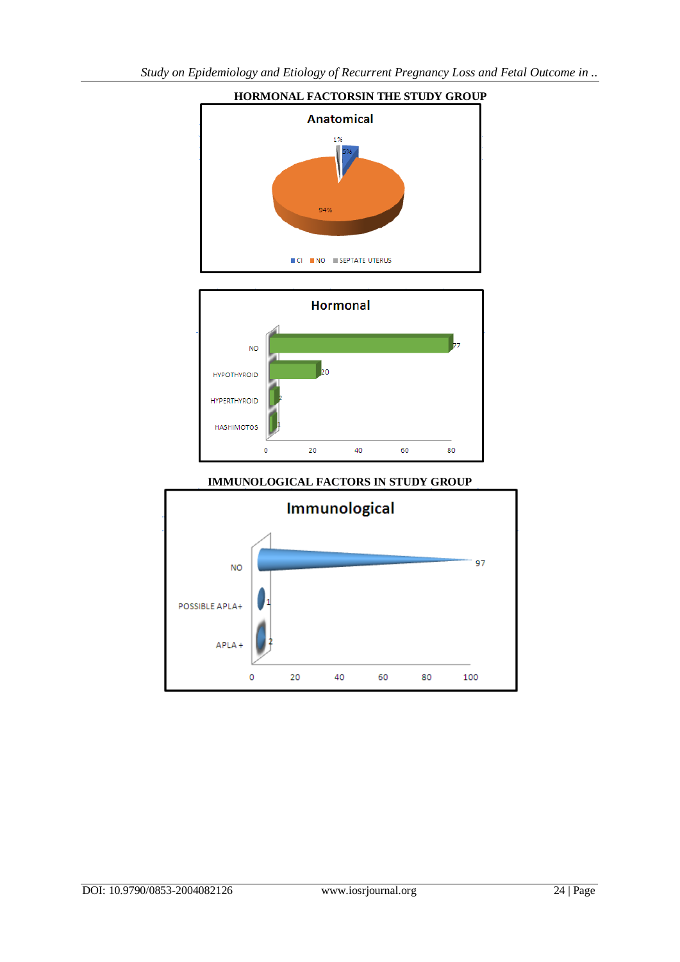

# **HORMONAL FACTORSIN THE STUDY GROUP**

# **IMMUNOLOGICAL FACTORS IN STUDY GROUP**

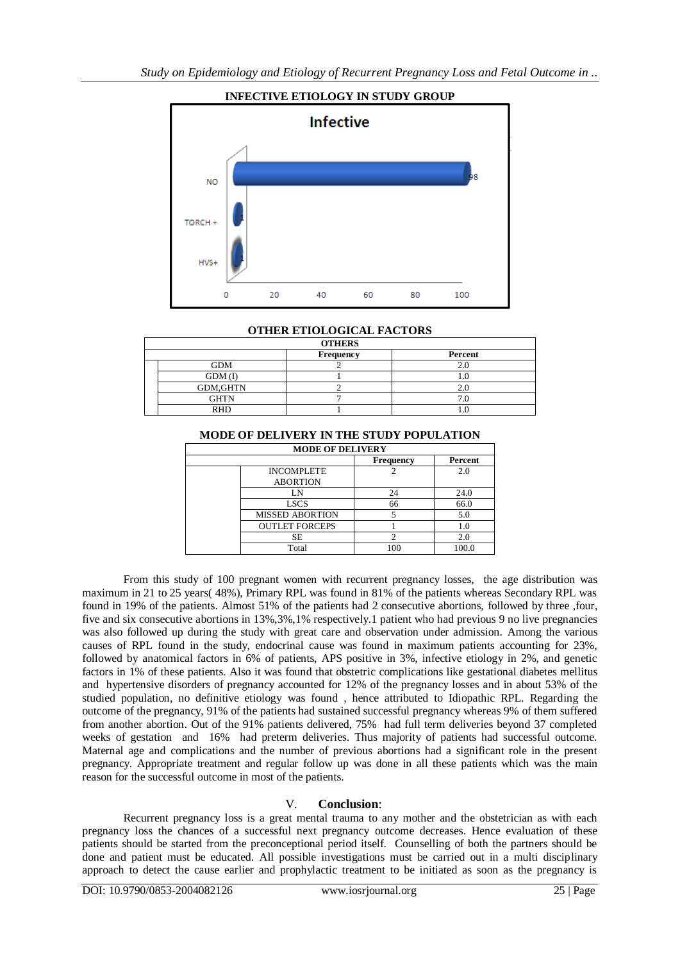

# **OTHER ETIOLOGICAL FACTORS**

|  | <b>OTHERS</b>   |                  |         |  |  |  |
|--|-----------------|------------------|---------|--|--|--|
|  |                 | <b>Frequency</b> | Percent |  |  |  |
|  | <b>GDM</b>      |                  |         |  |  |  |
|  | GDM(I)          |                  |         |  |  |  |
|  | <b>GDM,GHTN</b> |                  |         |  |  |  |
|  | GHTN            |                  |         |  |  |  |
|  | RHD             |                  |         |  |  |  |

# **MODE OF DELIVERY IN THE STUDY POPULATION**

| <b>MODE OF DELIVERY</b> |                                      |                  |         |  |  |
|-------------------------|--------------------------------------|------------------|---------|--|--|
|                         |                                      | <b>Frequency</b> | Percent |  |  |
|                         | <b>INCOMPLETE</b><br><b>ABORTION</b> |                  | 2.0     |  |  |
|                         | LN                                   | 24               | 24.0    |  |  |
|                         | <b>LSCS</b>                          | 66               | 66.0    |  |  |
|                         | <b>MISSED ABORTION</b>               |                  | 5.0     |  |  |
|                         | <b>OUTLET FORCEPS</b>                |                  | 1.0     |  |  |
|                         | SЕ                                   |                  | 2.0     |  |  |
|                         | Total                                | 100              | 100.0   |  |  |

From this study of 100 pregnant women with recurrent pregnancy losses, the age distribution was maximum in 21 to 25 years( 48%), Primary RPL was found in 81% of the patients whereas Secondary RPL was found in 19% of the patients. Almost 51% of the patients had 2 consecutive abortions, followed by three ,four, five and six consecutive abortions in 13%,3%,1% respectively.1 patient who had previous 9 no live pregnancies was also followed up during the study with great care and observation under admission. Among the various causes of RPL found in the study, endocrinal cause was found in maximum patients accounting for 23%, followed by anatomical factors in 6% of patients, APS positive in 3%, infective etiology in 2%, and genetic factors in 1% of these patients. Also it was found that obstetric complications like gestational diabetes mellitus and hypertensive disorders of pregnancy accounted for 12% of the pregnancy losses and in about 53% of the studied population, no definitive etiology was found , hence attributed to Idiopathic RPL. Regarding the outcome of the pregnancy, 91% of the patients had sustained successful pregnancy whereas 9% of them suffered from another abortion. Out of the 91% patients delivered, 75% had full term deliveries beyond 37 completed weeks of gestation and 16% had preterm deliveries. Thus majority of patients had successful outcome. Maternal age and complications and the number of previous abortions had a significant role in the present pregnancy. Appropriate treatment and regular follow up was done in all these patients which was the main reason for the successful outcome in most of the patients.

# V. **Conclusion**:

Recurrent pregnancy loss is a great mental trauma to any mother and the obstetrician as with each pregnancy loss the chances of a successful next pregnancy outcome decreases. Hence evaluation of these patients should be started from the preconceptional period itself. Counselling of both the partners should be done and patient must be educated. All possible investigations must be carried out in a multi disciplinary approach to detect the cause earlier and prophylactic treatment to be initiated as soon as the pregnancy is